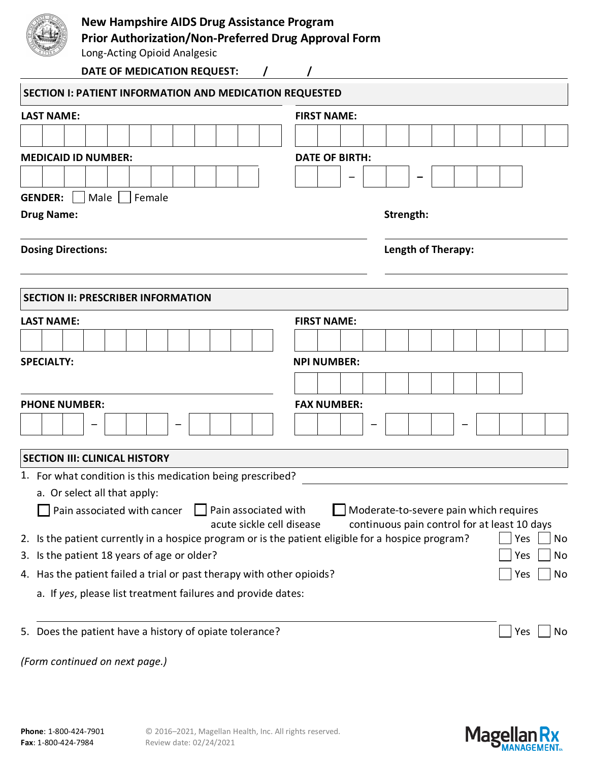| <b>New Hampshire AIDS Drug Assistance Program</b>                                    |                                                                                                 |                       |  |                                                                                        |  |  |     |    |
|--------------------------------------------------------------------------------------|-------------------------------------------------------------------------------------------------|-----------------------|--|----------------------------------------------------------------------------------------|--|--|-----|----|
| Prior Authorization/Non-Preferred Drug Approval Form<br>Long-Acting Opioid Analgesic |                                                                                                 |                       |  |                                                                                        |  |  |     |    |
|                                                                                      | DATE OF MEDICATION REQUEST:                                                                     |                       |  |                                                                                        |  |  |     |    |
|                                                                                      |                                                                                                 |                       |  |                                                                                        |  |  |     |    |
|                                                                                      | <b>SECTION I: PATIENT INFORMATION AND MEDICATION REQUESTED</b>                                  |                       |  |                                                                                        |  |  |     |    |
| <b>LAST NAME:</b>                                                                    |                                                                                                 | <b>FIRST NAME:</b>    |  |                                                                                        |  |  |     |    |
|                                                                                      |                                                                                                 |                       |  |                                                                                        |  |  |     |    |
|                                                                                      | <b>MEDICAID ID NUMBER:</b>                                                                      | <b>DATE OF BIRTH:</b> |  |                                                                                        |  |  |     |    |
|                                                                                      |                                                                                                 |                       |  |                                                                                        |  |  |     |    |
| <b>GENDER:</b>                                                                       | Male<br>Female                                                                                  |                       |  |                                                                                        |  |  |     |    |
| <b>Drug Name:</b>                                                                    |                                                                                                 |                       |  | Strength:                                                                              |  |  |     |    |
|                                                                                      |                                                                                                 |                       |  |                                                                                        |  |  |     |    |
| <b>Dosing Directions:</b>                                                            |                                                                                                 |                       |  | <b>Length of Therapy:</b>                                                              |  |  |     |    |
|                                                                                      |                                                                                                 |                       |  |                                                                                        |  |  |     |    |
|                                                                                      | <b>SECTION II: PRESCRIBER INFORMATION</b>                                                       |                       |  |                                                                                        |  |  |     |    |
| <b>LAST NAME:</b>                                                                    |                                                                                                 | <b>FIRST NAME:</b>    |  |                                                                                        |  |  |     |    |
|                                                                                      |                                                                                                 |                       |  |                                                                                        |  |  |     |    |
| <b>SPECIALTY:</b>                                                                    |                                                                                                 | <b>NPI NUMBER:</b>    |  |                                                                                        |  |  |     |    |
|                                                                                      |                                                                                                 |                       |  |                                                                                        |  |  |     |    |
| <b>PHONE NUMBER:</b>                                                                 |                                                                                                 | <b>FAX NUMBER:</b>    |  |                                                                                        |  |  |     |    |
|                                                                                      |                                                                                                 |                       |  |                                                                                        |  |  |     |    |
|                                                                                      |                                                                                                 |                       |  |                                                                                        |  |  |     |    |
|                                                                                      | <b>SECTION III: CLINICAL HISTORY</b>                                                            |                       |  |                                                                                        |  |  |     |    |
|                                                                                      | 1. For what condition is this medication being prescribed?                                      |                       |  |                                                                                        |  |  |     |    |
|                                                                                      | a. Or select all that apply:                                                                    |                       |  |                                                                                        |  |  |     |    |
|                                                                                      | Pain associated with<br>Pain associated with cancer<br>acute sickle cell disease                |                       |  | Moderate-to-severe pain which requires<br>continuous pain control for at least 10 days |  |  |     |    |
| 2.                                                                                   | Is the patient currently in a hospice program or is the patient eligible for a hospice program? |                       |  |                                                                                        |  |  | Yes | No |
| 3.                                                                                   | Is the patient 18 years of age or older?                                                        |                       |  |                                                                                        |  |  | Yes | No |
| 4. Has the patient failed a trial or past therapy with other opioids?                |                                                                                                 |                       |  |                                                                                        |  |  | Yes | No |
|                                                                                      | a. If yes, please list treatment failures and provide dates:                                    |                       |  |                                                                                        |  |  |     |    |
|                                                                                      | 5. Does the patient have a history of opiate tolerance?                                         |                       |  |                                                                                        |  |  | Yes | No |

*(Form continued on next page.)*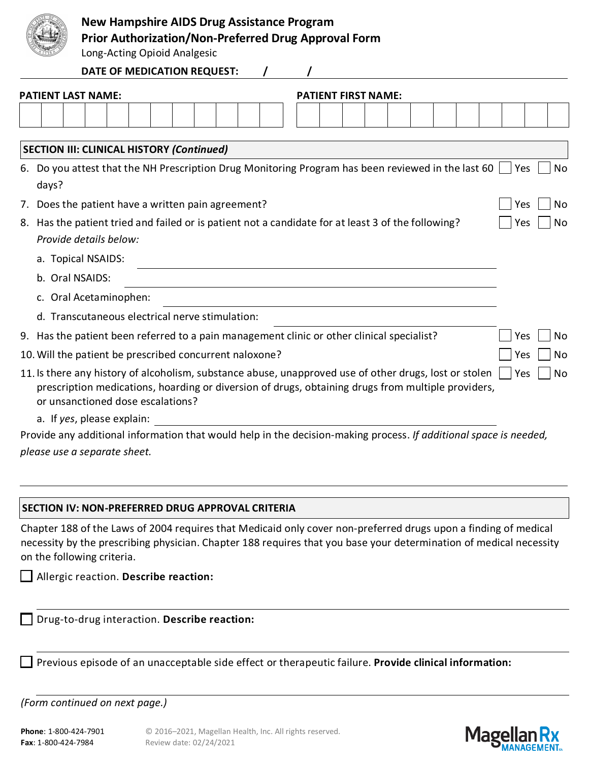|                        |       |                                                                                                                                                                                                                                                                                 | <b>New Hampshire AIDS Drug Assistance Program</b><br><b>Prior Authorization/Non-Preferred Drug Approval Form</b><br>Long-Acting Opioid Analgesic |  |  |  |  |  |                            |  |  |  |     |           |
|------------------------|-------|---------------------------------------------------------------------------------------------------------------------------------------------------------------------------------------------------------------------------------------------------------------------------------|--------------------------------------------------------------------------------------------------------------------------------------------------|--|--|--|--|--|----------------------------|--|--|--|-----|-----------|
|                        |       |                                                                                                                                                                                                                                                                                 | <b>DATE OF MEDICATION REQUEST:</b>                                                                                                               |  |  |  |  |  |                            |  |  |  |     |           |
|                        |       | <b>PATIENT LAST NAME:</b>                                                                                                                                                                                                                                                       |                                                                                                                                                  |  |  |  |  |  | <b>PATIENT FIRST NAME:</b> |  |  |  |     |           |
|                        |       |                                                                                                                                                                                                                                                                                 |                                                                                                                                                  |  |  |  |  |  |                            |  |  |  |     |           |
|                        |       | <b>SECTION III: CLINICAL HISTORY (Continued)</b>                                                                                                                                                                                                                                |                                                                                                                                                  |  |  |  |  |  |                            |  |  |  |     |           |
|                        | days? | 6. Do you attest that the NH Prescription Drug Monitoring Program has been reviewed in the last 60                                                                                                                                                                              |                                                                                                                                                  |  |  |  |  |  |                            |  |  |  | Yes | No        |
| 7.                     |       | Does the patient have a written pain agreement?                                                                                                                                                                                                                                 |                                                                                                                                                  |  |  |  |  |  |                            |  |  |  | Yes | No        |
|                        |       | 8. Has the patient tried and failed or is patient not a candidate for at least 3 of the following?<br>Provide details below:                                                                                                                                                    |                                                                                                                                                  |  |  |  |  |  |                            |  |  |  | Yes | No        |
| a. Topical NSAIDS:     |       |                                                                                                                                                                                                                                                                                 |                                                                                                                                                  |  |  |  |  |  |                            |  |  |  |     |           |
| b. Oral NSAIDS:        |       |                                                                                                                                                                                                                                                                                 |                                                                                                                                                  |  |  |  |  |  |                            |  |  |  |     |           |
| c. Oral Acetaminophen: |       |                                                                                                                                                                                                                                                                                 |                                                                                                                                                  |  |  |  |  |  |                            |  |  |  |     |           |
|                        |       | d. Transcutaneous electrical nerve stimulation:                                                                                                                                                                                                                                 |                                                                                                                                                  |  |  |  |  |  |                            |  |  |  |     |           |
|                        |       | 9. Has the patient been referred to a pain management clinic or other clinical specialist?                                                                                                                                                                                      |                                                                                                                                                  |  |  |  |  |  |                            |  |  |  | Yes | No        |
|                        |       | 10. Will the patient be prescribed concurrent naloxone?                                                                                                                                                                                                                         |                                                                                                                                                  |  |  |  |  |  |                            |  |  |  | Yes | No        |
|                        |       | 11. Is there any history of alcoholism, substance abuse, unapproved use of other drugs, lost or stolen<br>prescription medications, hoarding or diversion of drugs, obtaining drugs from multiple providers,<br>or unsanctioned dose escalations?<br>a. If yes, please explain: |                                                                                                                                                  |  |  |  |  |  |                            |  |  |  | Yes | <b>No</b> |
|                        |       |                                                                                                                                                                                                                                                                                 |                                                                                                                                                  |  |  |  |  |  |                            |  |  |  |     |           |

Provide any additional information that would help in the decision-making process. *If additional space is needed, please use a separate sheet.*

## **SECTION IV: NON-PREFERRED DRUG APPROVAL CRITERIA**

Chapter 188 of the Laws of 2004 requires that Medicaid only cover non-preferred drugs upon a finding of medical necessity by the prescribing physician. Chapter 188 requires that you base your determination of medical necessity on the following criteria.

Allergic reaction. **Describe reaction:**

Drug-to-drug interaction. **Describe reaction:**

Previous episode of an unacceptable side effect or therapeutic failure. **Provide clinical information:**

*(Form continued on next page.)*